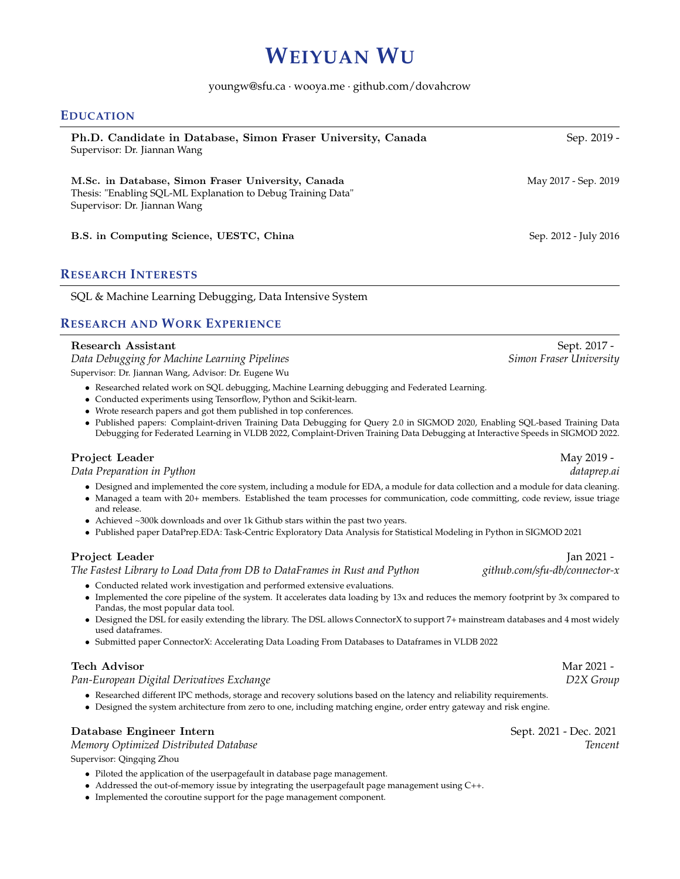# **WEIYUAN WU**

#### youngw@sfu.ca · wooya.me · github.com/dovahcrow

### **EDUCATION**

| Ph.D. Candidate in Database, Simon Fraser University, Canada<br>Supervisor: Dr. Jiannan Wang                                                       | Sep. 2019 -           |
|----------------------------------------------------------------------------------------------------------------------------------------------------|-----------------------|
| M.Sc. in Database, Simon Fraser University, Canada<br>Thesis: "Enabling SQL-ML Explanation to Debug Training Data"<br>Supervisor: Dr. Jiannan Wang | May 2017 - Sep. 2019  |
| B.S. in Computing Science, UESTC, China                                                                                                            | Sep. 2012 - July 2016 |

## **RESEARCH INTERESTS**

SQL & Machine Learning Debugging, Data Intensive System

# **RESEARCH AND WORK EXPERIENCE**

| Research Assistant | Sept. 2017 - |
|--------------------|--------------|
|--------------------|--------------|

*Data Debugging for Machine Learning Pipelines Simon Fraser University* Supervisor: Dr. Jiannan Wang, Advisor: Dr. Eugene Wu

- Researched related work on SQL debugging, Machine Learning debugging and Federated Learning.
- Conducted experiments using Tensorflow, Python and Scikit-learn.
- Wrote research papers and got them published in top conferences.
- Published papers: Complaint-driven Training Data Debugging for Query 2.0 in SIGMOD 2020, Enabling SQL-based Training Data Debugging for Federated Learning in VLDB 2022, Complaint-Driven Training Data Debugging at Interactive Speeds in SIGMOD 2022.

### Project Leader May 2019 -

*Data Preparation in Python dataprep.ai*

- Designed and implemented the core system, including a module for EDA, a module for data collection and a module for data cleaning.
- Managed a team with 20+ members. Established the team processes for communication, code committing, code review, issue triage and release.
- Achieved ~300k downloads and over 1k Github stars within the past two years.
- Published paper DataPrep.EDA: Task-Centric Exploratory Data Analysis for Statistical Modeling in Python in SIGMOD 2021

*The Fastest Library to Load Data from DB to DataFrames in Rust and Python github.com/sfu-db/connector-x*

- Conducted related work investigation and performed extensive evaluations.
- Implemented the core pipeline of the system. It accelerates data loading by 13x and reduces the memory footprint by 3x compared to Pandas, the most popular data tool.
- Designed the DSL for easily extending the library. The DSL allows ConnectorX to support 7+ mainstream databases and 4 most widely used dataframes.
- Submitted paper ConnectorX: Accelerating Data Loading From Databases to Dataframes in VLDB 2022

### Tech Advisor Mar 2021 - Natural Mar 2021 - Natural Mar 2021 - Natural Mar 2021 - Natural Mar 2021 - Natural Mar 2021 - Natural Mar 2021 - Natural Mar 2021 - Natural Mar 2021 - Natural Mar 2021 - Natural Mar 2021 - Natural

*Pan-European Digital Derivatives Exchange D2X Group*

- Researched different IPC methods, storage and recovery solutions based on the latency and reliability requirements.
- Designed the system architecture from zero to one, including matching engine, order entry gateway and risk engine.

### Database Engineer Intern Sept. 2021 - Dec. 2021

*Memory Optimized Distributed Database Tencent*

Supervisor: Qingqing Zhou

- Piloted the application of the userpagefault in database page management.
- Addressed the out-of-memory issue by integrating the userpagefault page management using C++.
- Implemented the coroutine support for the page management component.

Project Leader Jan 2021 - Jan 2021 - Jan 2021 - Jan 2021 - Jan 2021 - Jan 2021 - Jan 2021 - Jan 2021 - Jan 2021 - Jan 2021 - Jan 2021 - Jan 2021 - Jan 2021 - Jan 2021 - Jan 2021 - Jan 2021 - Jan 2021 - Jan 2021 - Jan 2021